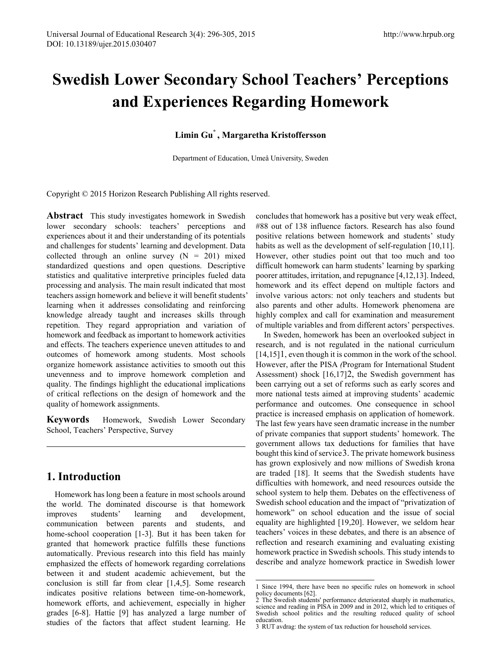# **Swedish Lower Secondary School Teachers' Perceptions and Experiences Regarding Homework**

# **Limin Gu\* , Margaretha Kristoffersson**

Department of Education, Umeå University, Sweden

Copyright © 2015 Horizon Research Publishing All rights reserved.

**Abstract** This study investigates homework in Swedish lower secondary schools: teachers' perceptions and experiences about it and their understanding of its potentials and challenges for students' learning and development. Data collected through an online survey  $(N = 201)$  mixed standardized questions and open questions. Descriptive statistics and qualitative interpretive principles fueled data processing and analysis. The main result indicated that most teachers assign homework and believe it will benefit students' learning when it addresses consolidating and reinforcing knowledge already taught and increases skills through repetition. They regard appropriation and variation of homework and feedback as important to homework activities and effects. The teachers experience uneven attitudes to and outcomes of homework among students. Most schools organize homework assistance activities to smooth out this unevenness and to improve homework completion and quality. The findings highlight the educational implications of critical reflections on the design of homework and the quality of homework assignments.

**Keywords** Homework, Swedish Lower Secondary School, Teachers' Perspective, Survey

# **1. Introduction**

<span id="page-0-1"></span><span id="page-0-0"></span>Homework has long been a feature in most schools around the world. The dominated discourse is that homework improves students' learning and development, communication between parents and students, and home-school cooperation [1-3]. But it has been taken for granted that homework practice fulfills these functions automatically. Previous research into this field has mainly emphasized the effects of homework regarding correlations between it and student academic achievement, but the conclusion is still far from clear [1,4,5]. Some research indicates positive relations between time-on-homework, homework efforts, and achievement, especially in higher grades [6-8]. Hattie [9] has analyzed a large number of studies of the factors that affect student learning. He

concludes that homework has a positive but very weak effect, #88 out of 138 influence factors. Research has also found positive relations between homework and students' study habits as well as the development of self-regulation [10,11]. However, other studies point out that too much and too difficult homework can harm students' learning by sparking poorer attitudes, irritation, and repugnance [4,12,13]. Indeed, homework and its effect depend on multiple factors and involve various actors: not only teachers and students but also parents and other adults. Homework phenomena are highly complex and call for examination and measurement of multiple variables and from different actors' perspectives.

In Sweden, homework has been an overlooked subject in research, and is not regulated in the national curriculum [[1](#page-2-0)4,15] l, even though it is common in the work of the school. However, after the PISA *(*Program for International Student Assessment) shock [16,17][2,](#page-0-0) the Swedish government has been carrying out a set of reforms such as early scores and more national tests aimed at improving students' academic performance and outcomes. One consequence in school practice is increased emphasis on application of homework. The last few years have seen dramatic increase in the number of private companies that support students' homework. The government allows tax deductions for families that have bought this kind of service[3.](#page-0-1) The private homework business has grown explosively and now millions of Swedish krona are traded [18]. It seems that the Swedish students have difficulties with homework, and need resources outside the school system to help them. Debates on the effectiveness of Swedish school education and the impact of "privatization of homework" on school education and the issue of social equality are highlighted [19,20]. However, we seldom hear teachers' voices in these debates, and there is an absence of reflection and research examining and evaluating existing homework practice in Swedish schools. This study intends to describe and analyze homework practice in Swedish lower

<sup>1</sup> Since 1994, there have been no specific rules on homework in school policy documents [62]. 2 The Swedish students' performance deteriorated sharply in mathematics, -

science and reading in PISA in 2009 and in 2012, which led to critiques of Swedish school politics and the resulting reduced quality of school education.

<sup>3</sup> RUT avdrag: the system of tax reduction for household services.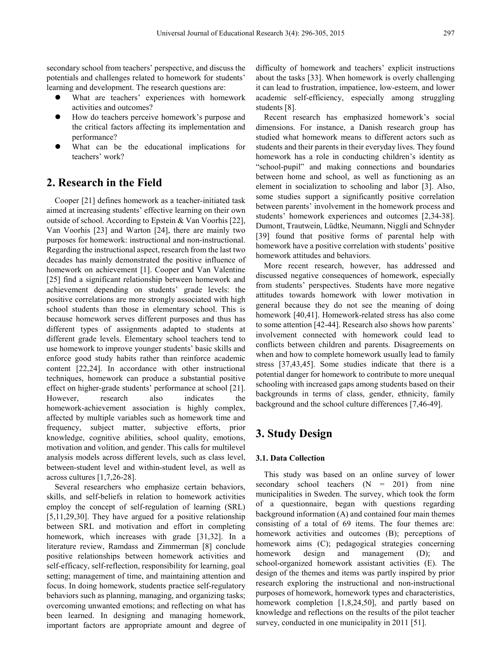secondary school from teachers' perspective, and discuss the potentials and challenges related to homework for students' learning and development. The research questions are:

- What are teachers' experiences with homework activities and outcomes?
- How do teachers perceive homework's purpose and the critical factors affecting its implementation and performance?
- What can be the educational implications for teachers' work?

# **2. Research in the Field**

Cooper [21] defines homework as a teacher-initiated task aimed at increasing students' effective learning on their own outside of school. According to Epstein & Van Voorhis [22], Van Voorhis [23] and Warton [24], there are mainly two purposes for homework: instructional and non-instructional. Regarding the instructional aspect, research from the last two decades has mainly demonstrated the positive influence of homework on achievement [1]. Cooper and Van Valentine [25] find a significant relationship between homework and achievement depending on students' grade levels: the positive correlations are more strongly associated with high school students than those in elementary school. This is because homework serves different purposes and thus has different types of assignments adapted to students at different grade levels. Elementary school teachers tend to use homework to improve younger students' basic skills and enforce good study habits rather than reinforce academic content [22,24]. In accordance with other instructional techniques, homework can produce a substantial positive effect on higher-grade students' performance at school [21]. However, research also indicates the homework-achievement association is highly complex, affected by multiple variables such as homework time and frequency, subject matter, subjective efforts, prior knowledge, cognitive abilities, school quality, emotions, motivation and volition, and gender. This calls for multilevel analysis models across different levels, such as class level, between-student level and within-student level, as well as across cultures [1,7,26-28].

Several researchers who emphasize certain behaviors, skills, and self-beliefs in relation to homework activities employ the concept of self-regulation of learning (SRL) [5,11,29,30]. They have argued for a positive relationship between SRL and motivation and effort in completing homework, which increases with grade [31,32]. In a literature review, Ramdass and Zimmerman [8] conclude positive relationships between homework activities and self-efficacy, self-reflection, responsibility for learning, goal setting; management of time, and maintaining attention and focus. In doing homework, students practice self-regulatory behaviors such as planning, managing, and organizing tasks; overcoming unwanted emotions; and reflecting on what has been learned. In designing and managing homework, important factors are appropriate amount and degree of

difficulty of homework and teachers' explicit instructions about the tasks [33]. When homework is overly challenging it can lead to frustration, impatience, low-esteem, and lower academic self-efficiency, especially among struggling students [8].

Recent research has emphasized homework's social dimensions. For instance, a Danish research group has studied what homework means to different actors such as students and their parents in their everyday lives. They found homework has a role in conducting children's identity as "school-pupil" and making connections and boundaries between home and school, as well as functioning as an element in socialization to schooling and labor [3]. Also, some studies support a significantly positive correlation between parents' involvement in the homework process and students' homework experiences and outcomes [2,34-38]. Dumont, Trautwein, Lüdtke, Neumann, Niggli and Schnyder [39] found that positive forms of parental help with homework have a positive correlation with students' positive homework attitudes and behaviors.

More recent research, however, has addressed and discussed negative consequences of homework, especially from students' perspectives. Students have more negative attitudes towards homework with lower motivation in general because they do not see the meaning of doing homework [40,41]. Homework-related stress has also come to some attention [42-44]. Research also shows how parents' involvement connected with homework could lead to conflicts between children and parents. Disagreements on when and how to complete homework usually lead to family stress [37,43,45]. Some studies indicate that there is a potential danger for homework to contribute to more unequal schooling with increased gaps among students based on their backgrounds in terms of class, gender, ethnicity, family background and the school culture differences [7,46-49].

## **3. Study Design**

## **3.1. Data Collection**

This study was based on an online survey of lower secondary school teachers  $(N = 201)$  from nine municipalities in Sweden. The survey, which took the form of a questionnaire, began with questions regarding background information (A) and contained four main themes consisting of a total of 69 items. The four themes are: homework activities and outcomes (B); perceptions of homework aims (C); pedagogical strategies concerning homework design and management (D); and school-organized homework assistant activities (E). The design of the themes and items was partly inspired by prior research exploring the instructional and non-instructional purposes of homework, homework types and characteristics, homework completion [1,8,24,50], and partly based on knowledge and reflections on the results of the pilot teacher survey, conducted in one municipality in 2011 [51].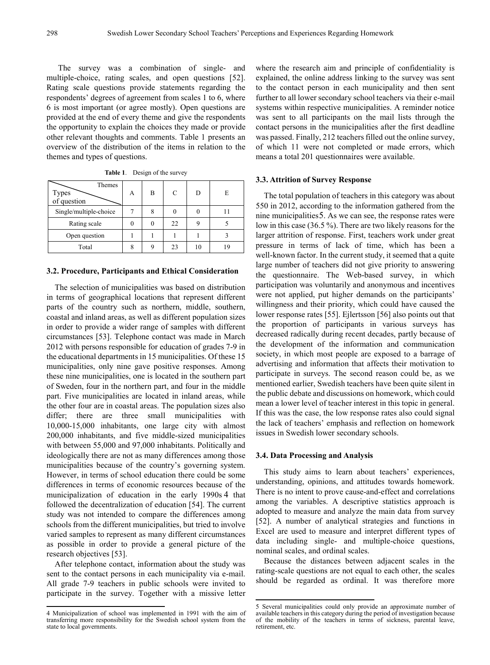The survey was a combination of single- and multiple-choice, rating scales, and open questions [52]. Rating scale questions provide statements regarding the respondents' degrees of agreement from scales 1 to 6, where 6 is most important (or agree mostly). Open questions are provided at the end of every theme and give the respondents the opportunity to explain the choices they made or provide other relevant thoughts and comments. Table 1 presents an overview of the distribution of the items in relation to the themes and types of questions.

| Themes<br>Types<br>of question | А | B | C  | D  | E |
|--------------------------------|---|---|----|----|---|
| Single/multiple-choice         |   | 8 |    |    |   |
| Rating scale                   |   |   | 22 |    |   |
| Open question                  |   |   |    |    |   |
| Total                          |   | c | 23 | 10 |   |

**Table 1**. Design of the survey

#### **3.2. Procedure, Participants and Ethical Consideration**

The selection of municipalities was based on distribution in terms of geographical locations that represent different parts of the country such as northern, middle, southern, coastal and inland areas, as well as different population sizes in order to provide a wider range of samples with different circumstances [53]. Telephone contact was made in March 2012 with persons responsible for education of grades 7-9 in the educational departments in 15 municipalities. Of these 15 municipalities, only nine gave positive responses. Among these nine municipalities, one is located in the southern part of Sweden, four in the northern part, and four in the middle part. Five municipalities are located in inland areas, while the other four are in coastal areas. The population sizes also differ; there are three small municipalities with 10,000-15,000 inhabitants, one large city with almost 200,000 inhabitants, and five middle-sized municipalities with between 55,000 and 97,000 inhabitants. Politically and ideologically there are not as many differences among those municipalities because of the country's governing system. However, in terms of school education there could be some differences in terms of economic resources because of the municipalization of education in the early 1990s [4](#page-2-1) that followed the decentralization of education [54]. The current study was not intended to compare the differences among schools from the different municipalities, but tried to involve varied samples to represent as many different circumstances as possible in order to provide a general picture of the research objectives [53].

After telephone contact, information about the study was sent to the contact persons in each municipality via e-mail. All grade 7-9 teachers in public schools were invited to participate in the survey. Together with a missive letter

<span id="page-2-0"></span>**.** 

where the research aim and principle of confidentiality is explained, the online address linking to the survey was sent to the contact person in each municipality and then sent further to all lower secondary school teachers via their e-mail systems within respective municipalities. A reminder notice was sent to all participants on the mail lists through the contact persons in the municipalities after the first deadline was passed. Finally, 212 teachers filled out the online survey, of which 11 were not completed or made errors, which means a total 201 questionnaires were available.

#### **3.3. Attrition of Survey Response**

The total population of teachers in this category was about 550 in 2012, according to the information gathered from the nine municipalities[5](#page-2-2). As we can see, the response rates were low in this case (36.5 %). There are two likely reasons for the larger attrition of response. First, teachers work under great pressure in terms of lack of time, which has been a well-known factor. In the current study, it seemed that a quite large number of teachers did not give priority to answering the questionnaire. The Web-based survey, in which participation was voluntarily and anonymous and incentives were not applied, put higher demands on the participants' willingness and their priority, which could have caused the lower response rates [55]. Ejlertsson [56] also points out that the proportion of participants in various surveys has decreased radically during recent decades, partly because of the development of the information and communication society, in which most people are exposed to a barrage of advertising and information that affects their motivation to participate in surveys. The second reason could be, as we mentioned earlier, Swedish teachers have been quite silent in the public debate and discussions on homework, which could mean a lower level of teacher interest in this topic in general. If this was the case, the low response rates also could signal the lack of teachers' emphasis and reflection on homework issues in Swedish lower secondary schools.

## **3.4. Data Processing and Analysis**

This study aims to learn about teachers' experiences, understanding, opinions, and attitudes towards homework. There is no intent to prove cause-and-effect and correlations among the variables. A descriptive statistics approach is adopted to measure and analyze the main data from survey [52]. A number of analytical strategies and functions in Excel are used to measure and interpret different types of data including single- and multiple-choice questions, nominal scales, and ordinal scales.

Because the distances between adjacent scales in the rating-scale questions are not equal to each other, the scales should be regarded as ordinal. It was therefore more

<span id="page-2-2"></span><span id="page-2-1"></span><sup>4</sup> Municipalization of school was implemented in 1991 with the aim of transferring more responsibility for the Swedish school system from the state to local governments.

<sup>5</sup> Several municipalities could only provide an approximate number of available teachers in this category during the period of investigation because of the mobility of the teachers in terms of sickness, parental leave, retirement, etc.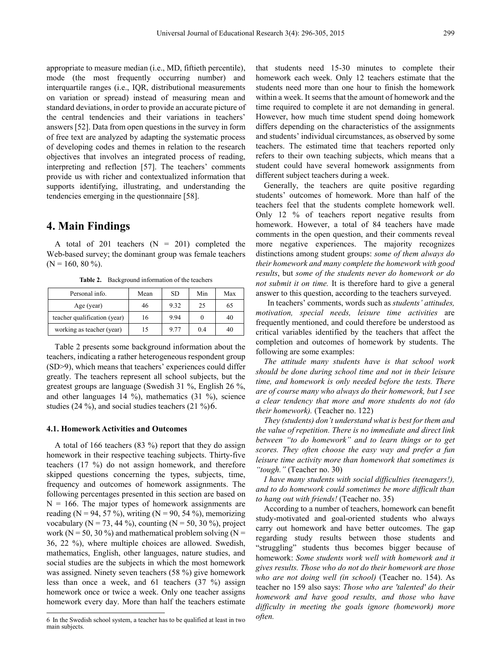appropriate to measure median (i.e., MD, fiftieth percentile), mode (the most frequently occurring number) and interquartile ranges (i.e., IQR, distributional measurements on variation or spread) instead of measuring mean and standard deviations, in order to provide an accurate picture of the central tendencies and their variations in teachers' answers [52]. Data from open questions in the survey in form of free text are analyzed by adapting the systematic process of developing codes and themes in relation to the research objectives that involves an integrated process of reading, interpreting and reflection [57]. The teachers' comments provide us with richer and contextualized information that supports identifying, illustrating, and understanding the tendencies emerging in the questionnaire [58].

## **4. Main Findings**

A total of 201 teachers  $(N = 201)$  completed the Web-based survey; the dominant group was female teachers  $(N = 160, 80\%)$ .

| Personal info.               | Mean | SD.  | Min | Max |
|------------------------------|------|------|-----|-----|
| Age (year)                   | 46   | 9.32 | 25  | 65  |
| teacher qualification (year) | 16   | 9.94 |     | 40  |
| working as teacher (year)    | 15   | 9.77 | 0.4 | 40  |

**Table 2.** Background information of the teachers

Table 2 presents some background information about the teachers, indicating a rather heterogeneous respondent group (SD>9), which means that teachers' experiences could differ greatly. The teachers represent all school subjects, but the greatest groups are language (Swedish 31 %, English 26 %, and other languages 14 %), mathematics (31 %), science studies (24 %), and social studies teachers (21 %)[6](#page-3-0).

## **4.1. Homework Activities and Outcomes**

A total of 166 teachers (83 %) report that they do assign homework in their respective teaching subjects. Thirty-five teachers (17 %) do not assign homework, and therefore skipped questions concerning the types, subjects, time, frequency and outcomes of homework assignments. The following percentages presented in this section are based on  $N = 166$ . The major types of homework assignments are reading (N = 94, 57 %), writing (N = 90, 54 %), memorizing vocabulary (N = 73, 44 %), counting (N = 50, 30 %), project work ( $N = 50$ , 30 %) and mathematical problem solving ( $N =$ 36, 22 %), where multiple choices are allowed. Swedish, mathematics, English, other languages, nature studies, and social studies are the subjects in which the most homework was assigned. Ninety seven teachers (58 %) give homework less than once a week, and 61 teachers (37 %) assign homework once or twice a week. Only one teacher assigns homework every day. More than half the teachers estimate

that students need 15-30 minutes to complete their homework each week. Only 12 teachers estimate that the students need more than one hour to finish the homework within a week. It seems that the amount of homework and the time required to complete it are not demanding in general. However, how much time student spend doing homework differs depending on the characteristics of the assignments and students' individual circumstances, as observed by some teachers. The estimated time that teachers reported only refers to their own teaching subjects, which means that a student could have several homework assignments from different subject teachers during a week.

Generally, the teachers are quite positive regarding students' outcomes of homework. More than half of the teachers feel that the students complete homework well. Only 12 % of teachers report negative results from homework. However, a total of 84 teachers have made comments in the open question, and their comments reveal more negative experiences. The majority recognizes distinctions among student groups: *some of them always do their homework and many complete the homework with good results*, but *some of the students never do homework or do not submit it on time.* It is therefore hard to give a general answer to this question, according to the teachers surveyed.

In teachers' comments, words such as *students' attitudes, motivation, special needs, leisure time activities* are frequently mentioned, and could therefore be understood as critical variables identified by the teachers that affect the completion and outcomes of homework by students. The following are some examples:

*The attitude many students have is that school work should be done during school time and not in their leisure time, and homework is only needed before the tests. There are of course many who always do their homework, but I see a clear tendency that more and more students do not (do their homework).* (Teacher no. 122)

*They (students) don't understand what is best for them and the value of repetition. There is no immediate and direct link between "to do homework" and to learn things or to get scores. They often choose the easy way and prefer a fun leisure time activity more than homework that sometimes is "tough."* (Teacher no. 30)

*I have many students with social difficulties (teenagers!), and to do homework could sometimes be more difficult than to hang out with friends!* (Teacher no. 35)

According to a number of teachers, homework can benefit study-motivated and goal-oriented students who always carry out homework and have better outcomes. The gap regarding study results between those students and "struggling" students thus becomes bigger because of homework: *Some students work well with homework and it gives results. Those who do not do their homework are those who are not doing well (in school)* (Teacher no. 154). As teacher no 159 also says: *Those who are 'talented' do their homework and have good results, and those who have difficulty in meeting the goals ignore (homework) more* 

<span id="page-3-0"></span><sup>6</sup> In the Swedish school system, a teacher has to be qualified at least in two *often.* main subjects.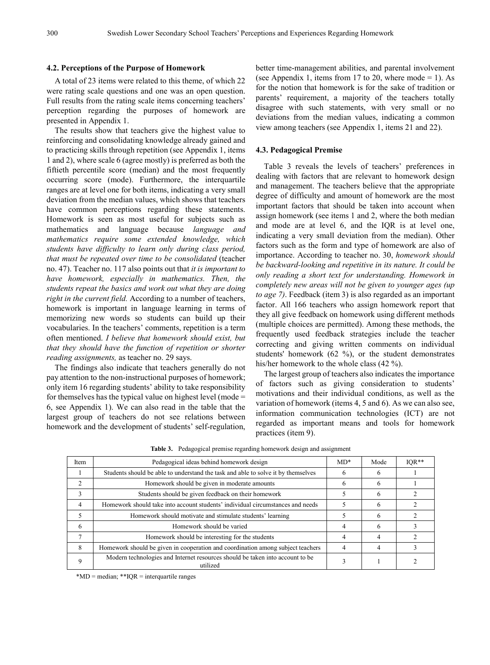## **4.2. Perceptions of the Purpose of Homework**

A total of 23 items were related to this theme, of which 22 were rating scale questions and one was an open question. Full results from the rating scale items concerning teachers' perception regarding the purposes of homework are presented in Appendix 1.

The results show that teachers give the highest value to reinforcing and consolidating knowledge already gained and to practicing skills through repetition (see Appendix 1, items 1 and 2), where scale 6 (agree mostly) is preferred as both the fiftieth percentile score (median) and the most frequently occurring score (mode). Furthermore, the interquartile ranges are at level one for both items, indicating a very small deviation from the median values, which shows that teachers have common perceptions regarding these statements. Homework is seen as most useful for subjects such as mathematics and language because *language and mathematics require some extended knowledge, which students have difficulty to learn only during class period, that must be repeated over time to be consolidated* (teacher no. 47). Teacher no. 117 also points out that *it is important to have homework, especially in mathematics. Then, the students repeat the basics and work out what they are doing right in the current field.* According to a number of teachers, homework is important in language learning in terms of memorizing new words so students can build up their vocabularies. In the teachers' comments, repetition is a term often mentioned. *I believe that homework should exist, but that they should have the function of repetition or shorter reading assignments,* as teacher no. 29 says.

The findings also indicate that teachers generally do not pay attention to the non-instructional purposes of homework; only item 16 regarding students' ability to take responsibility for themselves has the typical value on highest level (mode  $=$ 6, see Appendix 1). We can also read in the table that the largest group of teachers do not see relations between homework and the development of students' self-regulation,

better time-management abilities, and parental involvement (see Appendix 1, items from 17 to 20, where mode  $= 1$ ). As for the notion that homework is for the sake of tradition or parents' requirement, a majority of the teachers totally disagree with such statements, with very small or no deviations from the median values, indicating a common view among teachers (see Appendix 1, items 21 and 22).

#### **4.3. Pedagogical Premise**

Table 3 reveals the levels of teachers' preferences in dealing with factors that are relevant to homework design and management. The teachers believe that the appropriate degree of difficulty and amount of homework are the most important factors that should be taken into account when assign homework (see items 1 and 2, where the both median and mode are at level 6, and the IQR is at level one, indicating a very small deviation from the median). Other factors such as the form and type of homework are also of importance. According to teacher no. 30, *homework should be backward-looking and repetitive in its nature. It could be only reading a short text for understanding. Homework in completely new areas will not be given to younger ages (up to age 7)*. Feedback (item 3) is also regarded as an important factor. All 166 teachers who assign homework report that they all give feedback on homework using different methods (multiple choices are permitted). Among these methods, the frequently used feedback strategies include the teacher correcting and giving written comments on individual students' homework (62 %), or the student demonstrates his/her homework to the whole class (42 %).

The largest group of teachers also indicates the importance of factors such as giving consideration to students' motivations and their individual conditions, as well as the variation of homework (items 4, 5 and 6). As we can also see, information communication technologies (ICT) are not regarded as important means and tools for homework practices (item 9).

| Item | Pedagogical ideas behind homework design                                                  | $MD*$ | Mode | $IOR**$ |
|------|-------------------------------------------------------------------------------------------|-------|------|---------|
|      | Students should be able to understand the task and able to solve it by themselves         | 6     | 6    |         |
|      | Homework should be given in moderate amounts                                              | 6     | 6    |         |
|      | Students should be given feedback on their homework                                       |       | 6    |         |
| 4    | Homework should take into account students' individual circumstances and needs            |       | 6    |         |
|      | Homework should motivate and stimulate students' learning                                 |       | 6    |         |
| 6    | Homework should be varied                                                                 | 4     | 6    |         |
|      | Homework should be interesting for the students                                           | 4     | 4    |         |
| 8    | Homework should be given in cooperation and coordination among subject teachers           | 4     | 4    |         |
| 9    | Modern technologies and Internet resources should be taken into account to be<br>utilized |       |      |         |

**Table 3.** Pedagogical premise regarding homework design and assignment

\*MD = median; \*\*IQR = interquartile ranges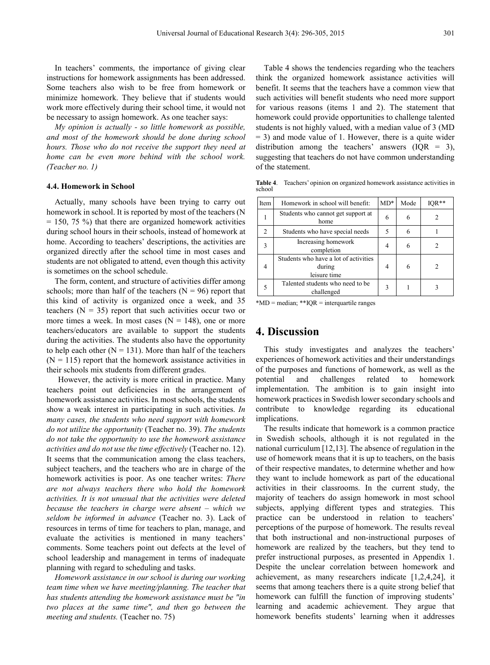In teachers' comments, the importance of giving clear instructions for homework assignments has been addressed. Some teachers also wish to be free from homework or minimize homework. They believe that if students would work more effectively during their school time, it would not be necessary to assign homework. As one teacher says:

*My opinion is actually - so little homework as possible, and most of the homework should be done during school hours. Those who do not receive the support they need at home can be even more behind with the school work. (Teacher no. 1)*

#### **4.4. Homework in School**

Actually, many schools have been trying to carry out homework in school. It is reported by most of the teachers (N  $= 150, 75\%$  that there are organized homework activities during school hours in their schools, instead of homework at home. According to teachers' descriptions, the activities are organized directly after the school time in most cases and students are not obligated to attend, even though this activity is sometimes on the school schedule.

The form, content, and structure of activities differ among schools; more than half of the teachers  $(N = 96)$  report that this kind of activity is organized once a week, and 35 teachers  $(N = 35)$  report that such activities occur two or more times a week. In most cases  $(N = 148)$ , one or more teachers/educators are available to support the students during the activities. The students also have the opportunity to help each other  $(N = 131)$ . More than half of the teachers  $(N = 115)$  report that the homework assistance activities in their schools mix students from different grades.

However, the activity is more critical in practice. Many teachers point out deficiencies in the arrangement of homework assistance activities. In most schools, the students show a weak interest in participating in such activities. *In many cases, the students who need support with homework do not utilize the opportunity* (Teacher no. 39). *The students do not take the opportunity to use the homework assistance activities and do not use the time effectively* (Teacher no. 12). It seems that the communication among the class teachers, subject teachers, and the teachers who are in charge of the homework activities is poor. As one teacher writes: *There are not always teachers there who hold the homework activities. It is not unusual that the activities were deleted because the teachers in charge were absent – which we seldom be informed in advance* (Teacher no. 3). Lack of resources in terms of time for teachers to plan, manage, and evaluate the activities is mentioned in many teachers' comments. Some teachers point out defects at the level of school leadership and management in terms of inadequate planning with regard to scheduling and tasks.

*Homework assistance in our school is during our working team time when we have meeting/planning. The teacher that has students attending the homework assistance must be "in two places at the same time", and then go between the meeting and students.* (Teacher no. 75)

Table 4 shows the tendencies regarding who the teachers think the organized homework assistance activities will benefit. It seems that the teachers have a common view that such activities will benefit students who need more support for various reasons (items 1 and 2). The statement that homework could provide opportunities to challenge talented students is not highly valued, with a median value of 3 (MD = 3) and mode value of 1. However, there is a quite wider distribution among the teachers' answers  $(IQR = 3)$ , suggesting that teachers do not have common understanding of the statement.

| Item | Homework in school will benefit:                                | $MD*$ | Mode | $IQR**$ |
|------|-----------------------------------------------------------------|-------|------|---------|
|      | Students who cannot get support at<br>home                      | 6     | 6    |         |
| 2    | Students who have special needs                                 | 5     | 6    |         |
| 3    | Increasing homework<br>completion                               | 4     | 6    | 2       |
| 4    | Students who have a lot of activities<br>during<br>leisure time | 4     | 6    | 2       |
|      | Talented students who need to be<br>challenged                  | 3     |      |         |

**Table 4**. Teachers' opinion on organized homework assistance activities in school

\*MD = median; \*\*IQR = interquartile ranges

## **4. Discussion**

This study investigates and analyzes the teachers' experiences of homework activities and their understandings of the purposes and functions of homework, as well as the potential and challenges related to homework implementation. The ambition is to gain insight into homework practices in Swedish lower secondary schools and contribute to knowledge regarding its educational implications.

The results indicate that homework is a common practice in Swedish schools, although it is not regulated in the national curriculum [12,13]. The absence of regulation in the use of homework means that it is up to teachers, on the basis of their respective mandates, to determine whether and how they want to include homework as part of the educational activities in their classrooms. In the current study, the majority of teachers do assign homework in most school subjects, applying different types and strategies. This practice can be understood in relation to teachers' perceptions of the purpose of homework. The results reveal that both instructional and non-instructional purposes of homework are realized by the teachers, but they tend to prefer instructional purposes, as presented in Appendix 1. Despite the unclear correlation between homework and achievement, as many researchers indicate [1,2,4,24], it seems that among teachers there is a quite strong belief that homework can fulfill the function of improving students' learning and academic achievement. They argue that homework benefits students' learning when it addresses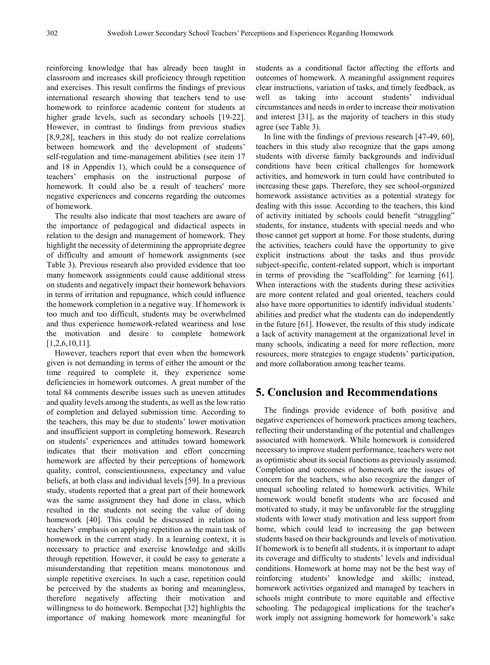reinforcing knowledge that has already been taught in classroom and increases skill proficiency through repetition and exercises. This result confirms the findings of previous international research showing that teachers tend to use homework to reinforce academic content for students at higher grade levels, such as secondary schools [19-22]. However, in contrast to findings from previous studies [8,9,28], teachers in this study do not realize correlations between homework and the development of students' self-regulation and time-management abilities (see item 17 and 18 in Appendix 1), which could be a consequence of teachers' emphasis on the instructional purpose of homework. It could also be a result of teachers' more negative experiences and concerns regarding the outcomes of homework.

The results also indicate that most teachers are aware of the importance of pedagogical and didactical aspects in relation to the design and management of homework. They highlight the necessity of determining the appropriate degree of difficulty and amount of homework assignments (see Table 3). Previous research also provided evidence that too many homework assignments could cause additional stress on students and negatively impact their homework behaviors in terms of irritation and repugnance, which could influence the homework completion in a negative way. If homework is too much and too difficult, students may be overwhelmed and thus experience homework-related weariness and lose the motivation and desire to complete homework [1,2,6,10,11].

However, teachers report that even when the homework given is not demanding in terms of either the amount or the time required to complete it, they experience some deficiencies in homework outcomes. A great number of the total 84 comments describe issues such as uneven attitudes and quality levels among the students, as well as the low ratio of completion and delayed submission time. According to the teachers, this may be due to students' lower motivation and insufficient support in completing homework. Research on students' experiences and attitudes toward homework indicates that their motivation and effort concerning homework are affected by their perceptions of homework quality, control, conscientiousness, expectancy and value beliefs, at both class and individual levels [59]. In a previous study, students reported that a great part of their homework was the same assignment they had done in class, which resulted in the students not seeing the value of doing homework [40]. This could be discussed in relation to teachers' emphasis on applying repetition as the main task of homework in the current study. In a learning context, it is necessary to practice and exercise knowledge and skills through repetition. However, it could be easy to generate a misunderstanding that repetition means monotonous and simple repetitive exercises. In such a case, repetition could be perceived by the students as boring and meaningless, therefore negatively affecting their motivation and willingness to do homework. Bempechat [32] highlights the importance of making homework more meaningful for

students as a conditional factor affecting the efforts and outcomes of homework. A meaningful assignment requires clear instructions, variation of tasks, and timely feedback, as well as taking into account students' individual circumstances and needs in order to increase their motivation and interest [31], as the majority of teachers in this study agree (see Table 3).

In line with the findings of previous research [47-49, 60], teachers in this study also recognize that the gaps among students with diverse family backgrounds and individual conditions have been critical challenges for homework activities, and homework in turn could have contributed to increasing these gaps. Therefore, they see school-organized homework assistance activities as a potential strategy for dealing with this issue. According to the teachers, this kind of activity initiated by schools could benefit "struggling" students, for instance, students with special needs and who those cannot get support at home. For those students, during the activities, teachers could have the opportunity to give explicit instructions about the tasks and thus provide subject-specific, content-related support, which is important in terms of providing the "scaffolding" for learning [61]. When interactions with the students during these activities are more content related and goal oriented, teachers could also have more opportunities to identify individual students' abilities and predict what the students can do independently in the future [61]. However, the results of this study indicate a lack of activity management at the organizational level in many schools, indicating a need for more reflection, more resources, more strategies to engage students' participation, and more collaboration among teacher teams.

## **5. Conclusion and Recommendations**

The findings provide evidence of both positive and negative experiences of homework practices among teachers, reflecting their understanding of the potential and challenges associated with homework. While homework is considered necessary to improve student performance, teachers were not as optimistic about its social functions as previously assumed. Completion and outcomes of homework are the issues of concern for the teachers, who also recognize the danger of unequal schooling related to homework activities. While homework would benefit students who are focused and motivated to study, it may be unfavorable for the struggling students with lower study motivation and less support from home, which could lead to increasing the gap between students based on their backgrounds and levels of motivation. If homework is to benefit all students, it is important to adapt its coverage and difficulty to students' levels and individual conditions. Homework at home may not be the best way of reinforcing students' knowledge and skills; instead, homework activities organized and managed by teachers in schools might contribute to more equitable and effective schooling. The pedagogical implications for the teacher's work imply not assigning homework for homework's sake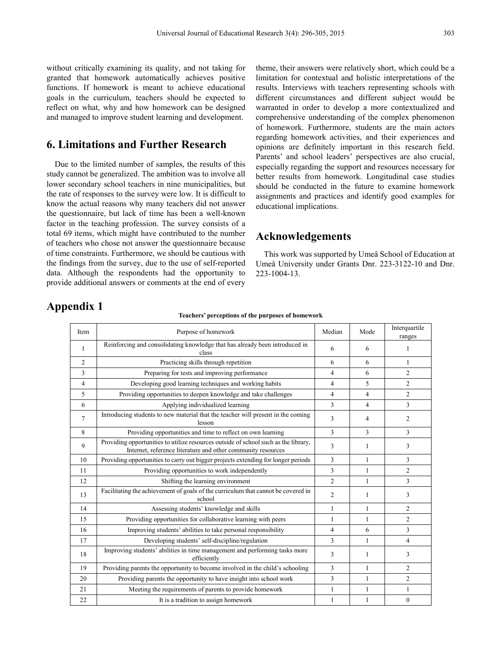without critically examining its quality, and not taking for granted that homework automatically achieves positive functions. If homework is meant to achieve educational goals in the curriculum, teachers should be expected to reflect on what, why and how homework can be designed and managed to improve student learning and development.

## **6. Limitations and Further Research**

Due to the limited number of samples, the results of this study cannot be generalized. The ambition was to involve all lower secondary school teachers in nine municipalities, but the rate of responses to the survey were low. It is difficult to know the actual reasons why many teachers did not answer the questionnaire, but lack of time has been a well-known factor in the teaching profession. The survey consists of a total 69 items, which might have contributed to the number of teachers who chose not answer the questionnaire because of time constraints. Furthermore, we should be cautious with the findings from the survey, due to the use of self-reported data. Although the respondents had the opportunity to provide additional answers or comments at the end of every

theme, their answers were relatively short, which could be a limitation for contextual and holistic interpretations of the results. Interviews with teachers representing schools with different circumstances and different subject would be warranted in order to develop a more contextualized and comprehensive understanding of the complex phenomenon of homework. Furthermore, students are the main actors regarding homework activities, and their experiences and opinions are definitely important in this research field. Parents' and school leaders' perspectives are also crucial, especially regarding the support and resources necessary for better results from homework. Longitudinal case studies should be conducted in the future to examine homework assignments and practices and identify good examples for educational implications.

## **Acknowledgements**

This work was supported by Umeå School of Education at Umeå University under Grants Dnr. 223-3122-10 and Dnr. 223-1004-13.

# **Appendix 1**

#### **Teachers' perceptions of the purposes of homework**

| Item           | Purpose of homework                                                                                                                                 | Median         | Mode           | Interquartile<br>ranges |
|----------------|-----------------------------------------------------------------------------------------------------------------------------------------------------|----------------|----------------|-------------------------|
| -1             | Reinforcing and consolidating knowledge that has already been introduced in<br>class                                                                | 6              | 6              | 1                       |
| $\overline{c}$ | Practicing skills through repetition                                                                                                                | 6              | 6              | $\mathbf{1}$            |
| 3              | Preparing for tests and improving performance                                                                                                       | $\overline{4}$ | 6              | $\overline{c}$          |
| 4              | Developing good learning techniques and working habits                                                                                              | 4              | 5              | 2                       |
| 5              | Providing opportunities to deepen knowledge and take challenges                                                                                     | 4              | $\overline{4}$ | 2                       |
| 6              | Applying individualized learning                                                                                                                    | 3              | 4              | 3                       |
| $\overline{7}$ | Introducing students to new material that the teacher will present in the coming<br>lesson                                                          | 3              | 4              | 2                       |
| 8              | Providing opportunities and time to reflect on own learning                                                                                         | 3              | 3              | 3                       |
| 9              | Providing opportunities to utilize resources outside of school such as the library,<br>Internet, reference literature and other community resources | 3              | 1              | 3                       |
| 10             | Providing opportunities to carry out bigger projects extending for longer periods                                                                   | 3              | $\mathbf{1}$   | 3                       |
| 11             | Providing opportunities to work independently                                                                                                       | 3              | 1              | $\overline{c}$          |
| 12             | Shifting the learning environment                                                                                                                   | $\overline{2}$ | 1              | 3                       |
| 13             | Facilitating the achievement of goals of the curriculum that cannot be covered in<br>school                                                         | 2              | 1              | 3                       |
| 14             | Assessing students' knowledge and skills                                                                                                            | 1              | 1              | 2                       |
| 15             | Providing opportunities for collaborative learning with peers                                                                                       | 1              | 1              | 2                       |
| 16             | Improving students' abilities to take personal responsibility                                                                                       | $\overline{4}$ | 6              | 3                       |
| 17             | Developing students' self-discipline/regulation                                                                                                     | 3              | $\mathbf{1}$   | 4                       |
| 18             | Improving students' abilities in time management and performing tasks more<br>efficiently                                                           | 3              | 1              | 3                       |
| 19             | Providing parents the opportunity to become involved in the child's schooling                                                                       | 3              | $\mathbf{1}$   | 2                       |
| 20             | Providing parents the opportunity to have insight into school work                                                                                  | 3              | $\mathbf{1}$   | $\overline{2}$          |
| 21             | Meeting the requirements of parents to provide homework                                                                                             | 1              | 1              | $\mathbf{1}$            |
| 22             | It is a tradition to assign homework                                                                                                                | 1              | 1              | $\mathbf{0}$            |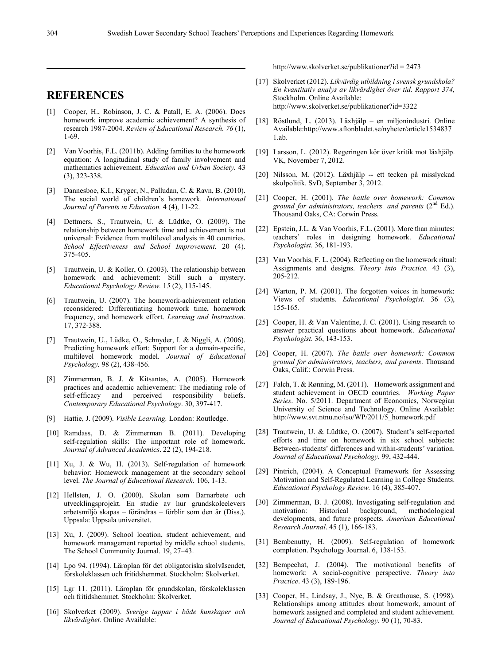## **REFERENCES**

- [1] Cooper, H., Robinson, J. C. & Patall, E. A. (2006). Does homework improve academic achievement? A synthesis of research 1987-2004. *Review of Educational Research. 76* (1), 1-69.
- [2] Van Voorhis, F.L. (2011b). Adding families to the homework equation: A longitudinal study of family involvement and mathematics achievement. *Education and Urban Society.* 43 (3), 323-338.
- [3] Dannesboe, K.I., Kryger, N., Palludan, C. & Ravn, B. (2010). The social world of children's homework. *International Journal of Parents in Education.* 4 (4), 11-22.
- [4] Dettmers, S., Trautwein, U. & Lüdtke, O. (2009). The relationship between homework time and achievement is not universal: Evidence from multilevel analysis in 40 countries. *School Effectiveness and School Improvement.* 20 (4). 375-405.
- [5] Trautwein, U. & Koller, O. (2003). The relationship between homework and achievement: Still such a mystery. *Educational Psychology Review.* 1*5* (2), 115-145.
- [6] Trautwein, U. (2007). The homework-achievement relation reconsidered: Differentiating homework time, homework frequency, and homework effort. *Learning and Instruction.*  17, 372-388.
- [7] Trautwein, U., Lüdke, O., Schnyder, I. & Niggli, A. (2006). Predicting homework effort: Support for a domain-specific, multilevel homework model. *Journal of Educational Psychology.* 98 (2), 438-456.
- [8] Zimmerman, B. J. & Kitsantas, A. (2005). Homework practices and academic achievement: The mediating role of self-efficacy and perceived responsibility beliefs. *Contemporary Educational Psychology*. 30, 397-417.
- [9] Hattie, J. (2009). *Visible Learning.* London: Routledge.
- [10] Ramdass, D. & Zimmerman B. (2011). Developing self-regulation skills: The important role of homework. *Journal of Advanced Academics*. 22 (2), 194-218.
- [11] Xu, J. & Wu, H. (2013). Self-regulation of homework behavior: Homework management at the secondary school level. *The Journal of Educational Research.* 106, 1-13.
- [12] Hellsten, J. O. (2000). Skolan som Barnarbete och utvecklingsprojekt. En studie av hur grundskoleelevers arbetsmiljö skapas – förändras – förblir som den är (Diss.). Uppsala: Uppsala universitet.
- [13] Xu, J. (2009). School location, student achievement, and homework management reported by middle school students. The School Community Journal. 19, 27–43.
- [14] Lpo 94. (1994). Läroplan för det obligatoriska skolväsendet, förskoleklassen och fritidshemmet. Stockholm: Skolverket.
- [15] Lgr 11. (2011). Läroplan för grundskolan, förskoleklassen och fritidshemmet. Stockholm: Skolverket.
- [16] Skolverket (2009). *Sverige tappar i både kunskaper och likvärdighet.* Online Available:

http://www.skolverket.se/publikationer?id = 2473

- [17] Skolverket (2012). *Likvärdig utbildning i svensk grundskola? En kvantitativ analys av likvärdighet över tid. Rapport 374,*  Stockholm. Online Available: http://www.skolverket.se/publikationer?id=3322
- [18] Röstlund, L. (2013). Läxhjälp en miljonindustri. Online Available:http://www.aftonbladet.se/nyheter/article1534837 1.ab.
- [19] Larsson, L. (2012). Regeringen kör över kritik mot läxhjälp. VK, November 7, 2012.
- [20] Nilsson, M. (2012). Läxhjälp -- ett tecken på misslyckad skolpolitik. SvD, September 3, 2012.
- [21] Cooper, H. (2001). *The battle over homework: Common*  ground for administrators, teachers, and parents (2<sup>nd</sup> Ed.). Thousand Oaks, CA: Corwin Press.
- [22] Epstein, J.L. & Van Voorhis, F.L. (2001). More than minutes: teachers' roles in designing homework. *Educational Psychologist.* 36, 181-193.
- [23] Van Voorhis, F. L. (2004). Reflecting on the homework ritual: Assignments and designs. *Theory into Practice.* 43 (3), 205-212.
- [24] Warton, P. M. (2001). The forgotten voices in homework: Views of students. *Educational Psychologist.* 36 (3), 155-165.
- [25] Cooper, H. & Van Valentine, J. C. (2001). Using research to answer practical questions about homework. *Educational Psychologist.* 36, 143-153.
- [26] Cooper, H. (2007). *The battle over homework: Common ground for administrators, teachers, and parents*. Thousand Oaks, Calif.: Corwin Press.
- [27] Falch, T. & Rønning, M. (2011). Homework assignment and student achievement in OECD countries. *Working Paper Series*. No. 5/2011. Department of Economics, Norwegian University of Science and Technology. Online Available: http://www.svt.ntnu.no/iso/WP/2011/5\_homework.pdf
- [28] Trautwein, U. & Lüdtke, O. (2007). Student's self-reported efforts and time on homework in six school subjects: Between-students' differences and within-students' variation. *Journal of Educational Psychology.* 99, 432-444.
- [29] Pintrich, (2004). A Conceptual Framework for Assessing Motivation and Self-Regulated Learning in College Students. *Educational Psychology Review.* 16 (4), 385-407.
- [30] Zimmerman, B. J. (2008). Investigating self-regulation and motivation: Historical background, methodological developments, and future prospects. *American Educational Research Journal*. 45 (1), 166-183.
- [31] Bembenutty, H. (2009). Self-regulation of homework completion. Psychology Journal. 6, 138-153.
- [32] Bempechat, J. (2004). The motivational benefits of homework: A social-cognitive perspective. *Theory into Practice*. 43 (3), 189-196.
- [33] Cooper, H., Lindsay, J., Nye, B. & Greathouse, S. (1998). Relationships among attitudes about homework, amount of homework assigned and completed and student achievement. *Journal of Educational Psychology.* 90 (1), 70-83.